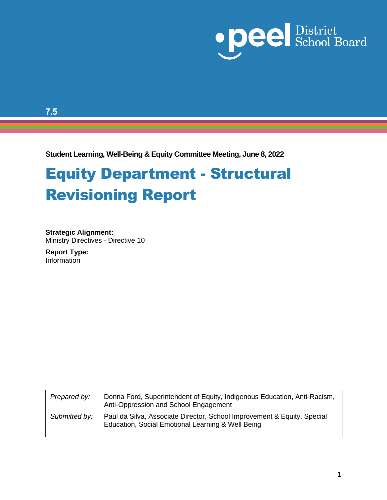

**7.5**

**Student Learning, Well-Being & Equity Committee Meeting, June 8, 2022**

# Equity Department - Structural Revisioning Report

**Strategic Alignment:** Ministry Directives - Directive 10

**Report Type:** Information

| Prepared by:  | Donna Ford, Superintendent of Equity, Indigenous Education, Anti-Racism,<br>Anti-Oppression and School Engagement            |
|---------------|------------------------------------------------------------------------------------------------------------------------------|
| Submitted by: | Paul da Silva, Associate Director, School Improvement & Equity, Special<br>Education, Social Emotional Learning & Well Being |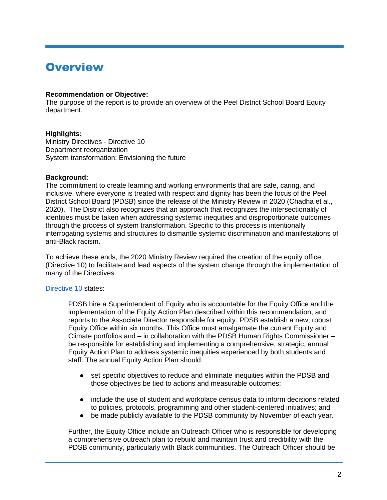### **Overview**

#### **Recommendation or Objective:**

The purpose of the report is to provide an overview of the Peel District School Board Equity department.

#### **Highlights:**

Ministry Directives - Directive 10 Department reorganization System transformation: Envisioning the future

#### **Background:**

The commitment to create learning and working environments that are safe, caring, and inclusive, where everyone is treated with respect and dignity has been the focus of the Peel District School Board (PDSB) since the release of the Ministry Review in 2020 (Chadha et al., 2020). The District also recognizes that an approach that recognizes the intersectionality of identities must be taken when addressing systemic inequities and disproportionate outcomes through the process of system transformation. Specific to this process is intentionally interrogating systems and structures to dismantle systemic discrimination and manifestations of anti-Black racism.

To achieve these ends, the 2020 Ministry Review required the creation of the equity office (Directive 10) to facilitate and lead aspects of the system change through the implementation of many of the Directives.

#### [Directive 10](http://www.edu.gov.on.ca/eng/new/minister-directions-pdsb-review.pdf) states:

PDSB hire a Superintendent of Equity who is accountable for the Equity Office and the implementation of the Equity Action Plan described within this recommendation, and reports to the Associate Director responsible for equity. PDSB establish a new, robust Equity Office within six months. This Office must amalgamate the current Equity and Climate portfolios and – in collaboration with the PDSB Human Rights Commissioner – be responsible for establishing and implementing a comprehensive, strategic, annual Equity Action Plan to address systemic inequities experienced by both students and staff. The annual Equity Action Plan should:

- set specific objectives to reduce and eliminate inequities within the PDSB and those objectives be tied to actions and measurable outcomes;
- include the use of student and workplace census data to inform decisions related to policies, protocols, programming and other student-centered initiatives; and
- be made publicly available to the PDSB community by November of each year.

Further, the Equity Office include an Outreach Officer who is responsible for developing a comprehensive outreach plan to rebuild and maintain trust and credibility with the PDSB community, particularly with Black communities. The Outreach Officer should be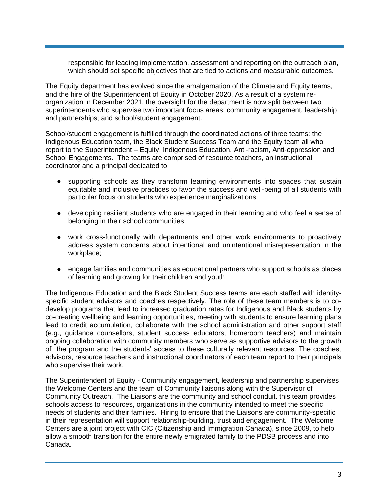responsible for leading implementation, assessment and reporting on the outreach plan, which should set specific objectives that are tied to actions and measurable outcomes.

The Equity department has evolved since the amalgamation of the Climate and Equity teams, and the hire of the Superintendent of Equity in October 2020. As a result of a system reorganization in December 2021, the oversight for the department is now split between two superintendents who supervise two important focus areas: community engagement, leadership and partnerships; and school/student engagement.

School/student engagement is fulfilled through the coordinated actions of three teams: the Indigenous Education team, the Black Student Success Team and the Equity team all who report to the Superintendent – Equity, Indigenous Education, Anti-racism, Anti-oppression and School Engagements. The teams are comprised of resource teachers, an instructional coordinator and a principal dedicated to

- supporting schools as they transform learning environments into spaces that sustain equitable and inclusive practices to favor the success and well-being of all students with particular focus on students who experience marginalizations;
- developing resilient students who are engaged in their learning and who feel a sense of belonging in their school communities;
- work cross-functionally with departments and other work environments to proactively address system concerns about intentional and unintentional misrepresentation in the workplace;
- engage families and communities as educational partners who support schools as places of learning and growing for their children and youth

The Indigenous Education and the Black Student Success teams are each staffed with identityspecific student advisors and coaches respectively. The role of these team members is to codevelop programs that lead to increased graduation rates for Indigenous and Black students by co-creating wellbeing and learning opportunities, meeting with students to ensure learning plans lead to credit accumulation, collaborate with the school administration and other support staff (e.g., guidance counsellors, student success educators, homeroom teachers) and maintain ongoing collaboration with community members who serve as supportive advisors to the growth of the program and the students' access to these culturally relevant resources. The coaches, advisors, resource teachers and instructional coordinators of each team report to their principals who supervise their work.

The Superintendent of Equity - Community engagement, leadership and partnership supervises the Welcome Centers and the team of Community liaisons along with the Supervisor of Community Outreach. The Liaisons are the community and school conduit. this team provides schools access to resources, organizations in the community intended to meet the specific needs of students and their families. Hiring to ensure that the Liaisons are community-specific in their representation will support relationship-building, trust and engagement. The Welcome Centers are a joint project with CIC (Citizenship and Immigration Canada), since 2009, to help allow a smooth transition for the entire newly emigrated family to the PDSB process and into Canada.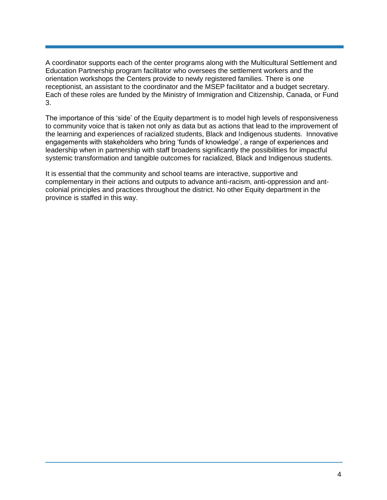A coordinator supports each of the center programs along with the Multicultural Settlement and Education Partnership program facilitator who oversees the settlement workers and the orientation workshops the Centers provide to newly registered families. There is one receptionist, an assistant to the coordinator and the MSEP facilitator and a budget secretary. Each of these roles are funded by the Ministry of Immigration and Citizenship, Canada, or Fund 3.

The importance of this 'side' of the Equity department is to model high levels of responsiveness to community voice that is taken not only as data but as actions that lead to the improvement of the learning and experiences of racialized students, Black and Indigenous students. Innovative engagements with stakeholders who bring 'funds of knowledge', a range of experiences and leadership when in partnership with staff broadens significantly the possibilities for impactful systemic transformation and tangible outcomes for racialized, Black and Indigenous students.

It is essential that the community and school teams are interactive, supportive and complementary in their actions and outputs to advance anti-racism, anti-oppression and antcolonial principles and practices throughout the district. No other Equity department in the province is staffed in this way.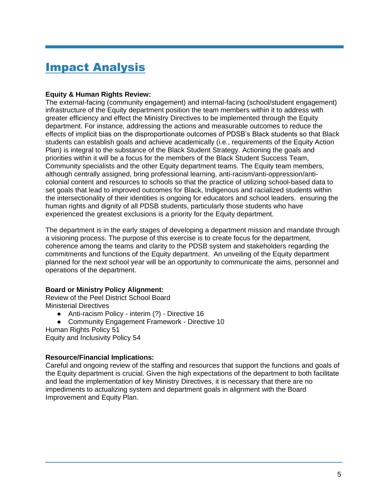### Impact Analysis

#### **Equity & Human Rights Review:**

The external-facing (community engagement) and internal-facing (school/student engagement) infrastructure of the Equity department position the team members within it to address with greater efficiency and effect the Ministry Directives to be implemented through the Equity department. For instance, addressing the actions and measurable outcomes to reduce the effects of implicit bias on the disproportionate outcomes of PDSB's Black students so that Black students can establish goals and achieve academically (i.e., requirements of the Equity Action Plan) is integral to the substance of the Black Student Strategy. Actioning the goals and priorities within it will be a focus for the members of the Black Student Success Team, Community specialists and the other Equity department teams. The Equity team members, although centrally assigned, bring professional learning, anti-racism/anti-oppression/anticolonial content and resources to schools so that the practice of utilizing school-based data to set goals that lead to improved outcomes for Black, Indigenous and racialized students within the intersectionality of their identities is ongoing for educators and school leaders. ensuring the human rights and dignity of all PDSB students, particularly those students who have experienced the greatest exclusions is a priority for the Equity department.

The department is in the early stages of developing a department mission and mandate through a visioning process. The purpose of this exercise is to create focus for the department, coherence among the teams and clarity to the PDSB system and stakeholders regarding the commitments and functions of the Equity department. An unveiling of the Equity department planned for the next school year will be an opportunity to communicate the aims, personnel and operations of the department.

#### **Board or Ministry Policy Alignment:**

Review of the Peel District School Board Ministerial Directives

- Anti-racism Policy interim (?) Directive 16
- Community Engagement Framework Directive 10

Human Rights Policy 51

Equity and Inclusivity Policy 54

#### **Resource/Financial Implications:**

Careful and ongoing review of the staffing and resources that support the functions and goals of the Equity department is crucial. Given the high expectations of the department to both facilitate and lead the implementation of key Ministry Directives, it is necessary that there are no impediments to actualizing system and department goals in alignment with the Board Improvement and Equity Plan.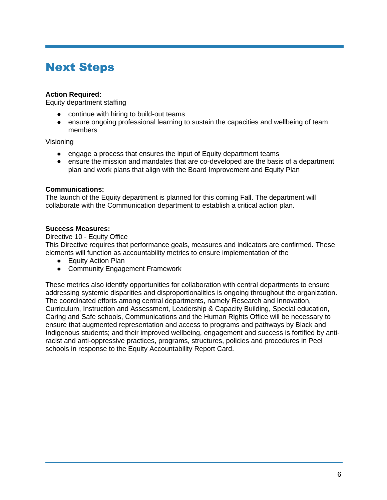## Next Steps

#### **Action Required:**

Equity department staffing

- continue with hiring to build-out teams
- ensure ongoing professional learning to sustain the capacities and wellbeing of team members

Visioning

- engage a process that ensures the input of Equity department teams
- ensure the mission and mandates that are co-developed are the basis of a department plan and work plans that align with the Board Improvement and Equity Plan

#### **Communications:**

The launch of the Equity department is planned for this coming Fall. The department will collaborate with the Communication department to establish a critical action plan.

#### **Success Measures:**

Directive 10 - Equity Office

This Directive requires that performance goals, measures and indicators are confirmed. These elements will function as accountability metrics to ensure implementation of the

- Equity Action Plan
- Community Engagement Framework

These metrics also identify opportunities for collaboration with central departments to ensure addressing systemic disparities and disproportionalities is ongoing throughout the organization. The coordinated efforts among central departments, namely Research and Innovation, Curriculum, Instruction and Assessment, Leadership & Capacity Building, Special education, Caring and Safe schools, Communications and the Human Rights Office will be necessary to ensure that augmented representation and access to programs and pathways by Black and Indigenous students; and their improved wellbeing, engagement and success is fortified by antiracist and anti-oppressive practices, programs, structures, policies and procedures in Peel schools in response to the Equity Accountability Report Card.